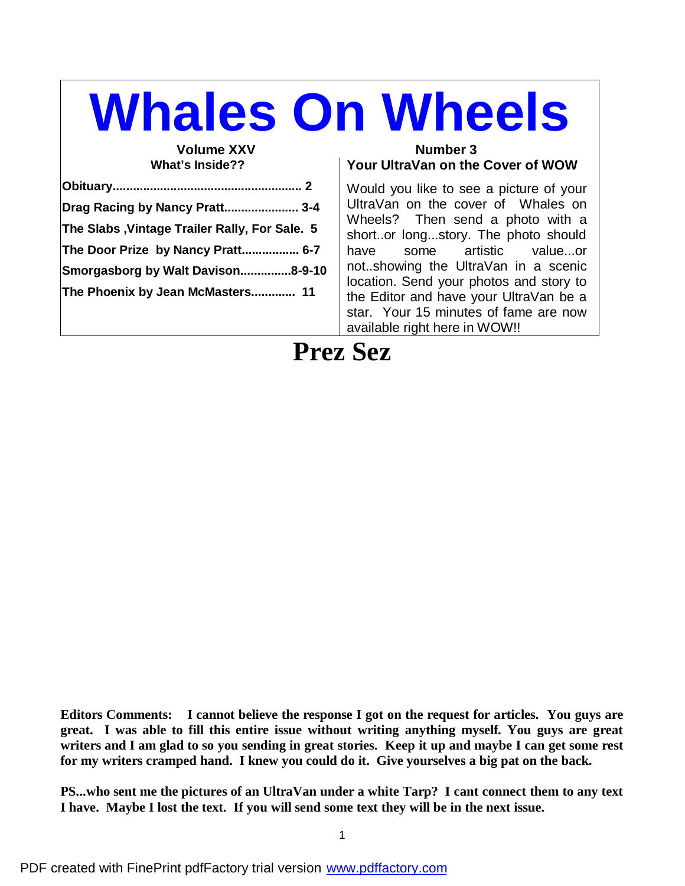# **Whales On Wheels**

## **What's Inside??**

| Drag Racing by Nancy Pratt 3-4                |  |
|-----------------------------------------------|--|
| The Slabs, Vintage Trailer Rally, For Sale. 5 |  |
| The Door Prize by Nancy Pratt 6-7             |  |
| Smorgasborg by Walt Davison8-9-10             |  |
| The Phoenix by Jean McMasters 11              |  |
|                                               |  |

#### **Volume XXV** Number 3 **Your UltraVan on the Cover of WOW**

Would you like to see a picture of your UltraVan on the cover of Whales on Wheels? Then send a photo with a short..or long...story. The photo should have some artistic value...or not..showing the UltraVan in a scenic location. Send your photos and story to the Editor and have your UltraVan be a star. Your 15 minutes of fame are now available right here in WOW!!

# **Prez Sez**

**Editors Comments: I cannot believe the response I got on the request for articles. You guys are great. I was able to fill this entire issue without writing anything myself. You guys are great** writers and I am glad to so you sending in great stories. Keep it up and maybe I can get some rest **for my writers cramped hand. I knew you could do it. Give yourselves a big pat on the back.**

**PS...who sent me the pictures of an UltraVan under a white Tarp? I cant connect them to any text I have. Maybe I lost the text. If you will send some text they will be in the next issue.**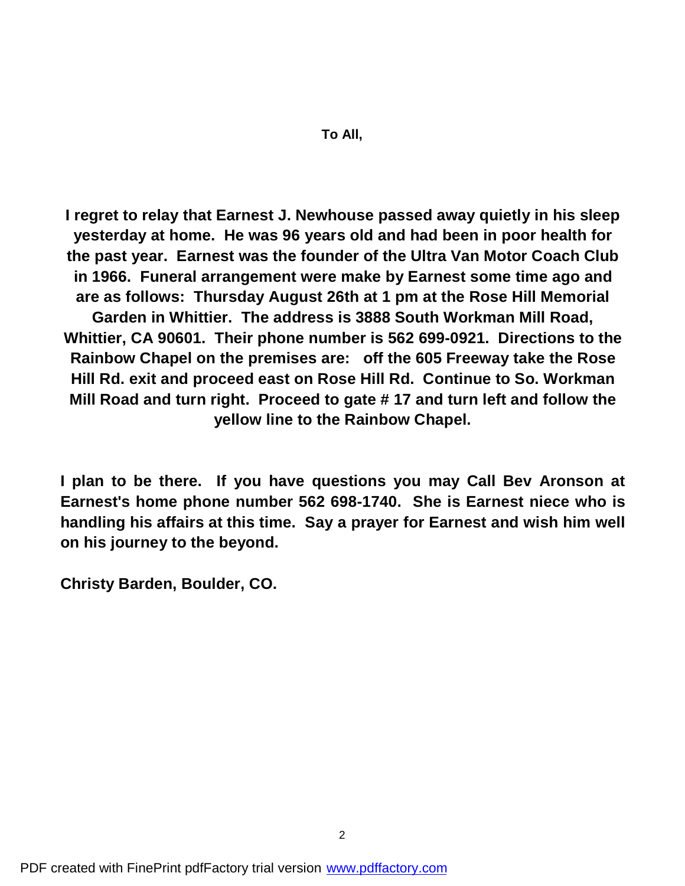**I regret to relay that Earnest J. Newhouse passed away quietly in his sleep yesterday at home. He was 96 years old and had been in poor health for the past year. Earnest was the founder of the Ultra Van Motor Coach Club in 1966. Funeral arrangement were make by Earnest some time ago and are as follows: Thursday August 26th at 1 pm at the Rose Hill Memorial Garden in Whittier. The address is 3888 South Workman Mill Road, Whittier, CA 90601. Their phone number is 562 699-0921. Directions to the Rainbow Chapel on the premises are: off the 605 Freeway take the Rose Hill Rd. exit and proceed east on Rose Hill Rd. Continue to So. Workman Mill Road and turn right. Proceed to gate # 17 and turn left and follow the yellow line to the Rainbow Chapel.**

**I plan to be there. If you have questions you may Call Bev Aronson at Earnest's home phone number 562 698-1740. She is Earnest niece who is handling his affairs at this time. Say a prayer for Earnest and wish him well on his journey to the beyond.**

**Christy Barden, Boulder, CO.**

PDF created with FinePrint pdfFactory trial version [www.pdffactory.com](http://www.pdffactory.com)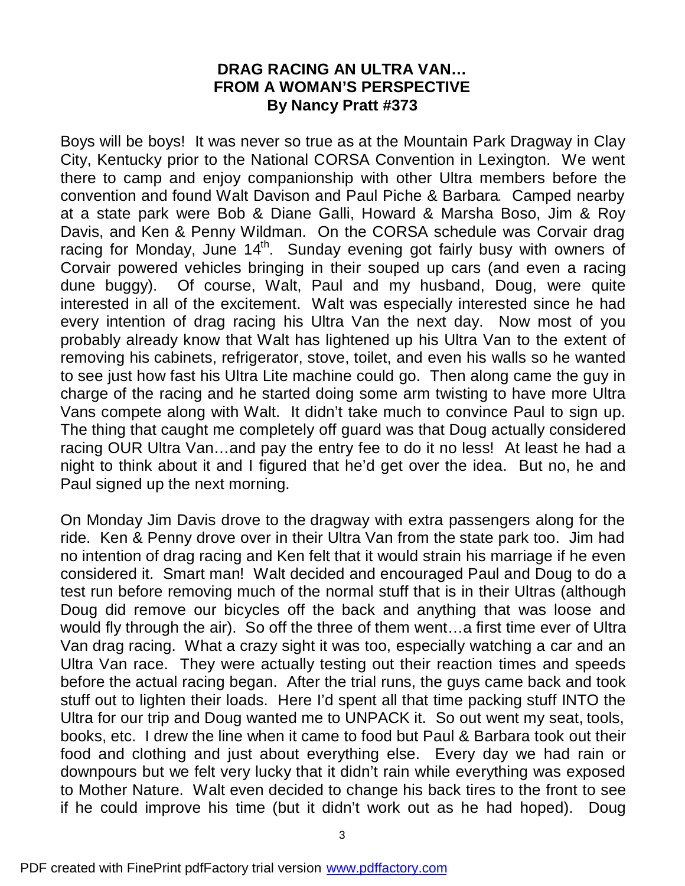#### **DRAG RACING AN ULTRA VAN… FROM A WOMAN'S PERSPECTIVE By Nancy Pratt #373**

Boys will be boys! It was never so true as at the Mountain Park Dragway in Clay City, Kentucky prior to the National CORSA Convention in Lexington. We went there to camp and enjoy companionship with other Ultra members before the convention and found Walt Davison and Paul Piche & Barbara. Camped nearby at a state park were Bob & Diane Galli, Howard & Marsha Boso, Jim & Roy Davis, and Ken & Penny Wildman. On the CORSA schedule was Corvair drag racing for Monday, June 14<sup>th</sup>. Sunday evening got fairly busy with owners of Corvair powered vehicles bringing in their souped up cars (and even a racing dune buggy). Of course, Walt, Paul and my husband, Doug, were quite interested in all of the excitement. Walt was especially interested since he had every intention of drag racing his Ultra Van the next day. Now most of you probably already know that Walt has lightened up his Ultra Van to the extent of removing his cabinets, refrigerator, stove, toilet, and even his walls so he wanted to see just how fast his Ultra Lite machine could go. Then along came the guy in charge of the racing and he started doing some arm twisting to have more Ultra Vans compete along with Walt. It didn't take much to convince Paul to sign up. The thing that caught me completely off guard was that Doug actually considered racing OUR Ultra Van…and pay the entry fee to do it no less! At least he had a night to think about it and I figured that he'd get over the idea. But no, he and Paul signed up the next morning.

On Monday Jim Davis drove to the dragway with extra passengers along for the ride. Ken & Penny drove over in their Ultra Van from the state park too. Jim had no intention of drag racing and Ken felt that it would strain his marriage if he even considered it. Smart man! Walt decided and encouraged Paul and Doug to do a test run before removing much of the normal stuff that is in their Ultras (although Doug did remove our bicycles off the back and anything that was loose and would fly through the air). So off the three of them went…a first time ever of Ultra Van drag racing. What a crazy sight it was too, especially watching a car and an Ultra Van race. They were actually testing out their reaction times and speeds before the actual racing began. After the trial runs, the guys came back and took stuff out to lighten their loads. Here I'd spent all that time packing stuff INTO the Ultra for our trip and Doug wanted me to UNPACK it. So out went my seat, tools, books, etc. I drew the line when it came to food but Paul & Barbara took out their food and clothing and just about everything else. Every day we had rain or downpours but we felt very lucky that it didn't rain while everything was exposed to Mother Nature. Walt even decided to change his back tires to the front to see if he could improve his time (but it didn't work out as he had hoped). Doug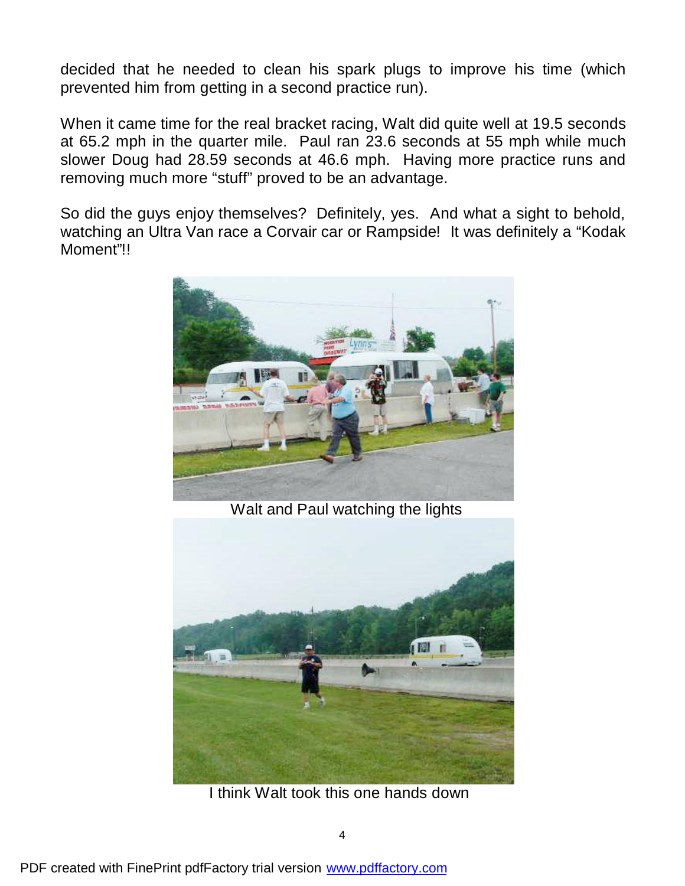decided that he needed to clean his spark plugs to improve his time (which prevented him from getting in a second practice run).

When it came time for the real bracket racing, Walt did quite well at 19.5 seconds at 65.2 mph in the quarter mile. Paul ran 23.6 seconds at 55 mph while much slower Doug had 28.59 seconds at 46.6 mph. Having more practice runs and removing much more "stuff" proved to be an advantage.

So did the guys enjoy themselves? Definitely, yes. And what a sight to behold, watching an Ultra Van race a Corvair car or Rampside! It was definitely a "Kodak Moment"!!



Walt and Paul watching the lights



I think Walt took this one hands down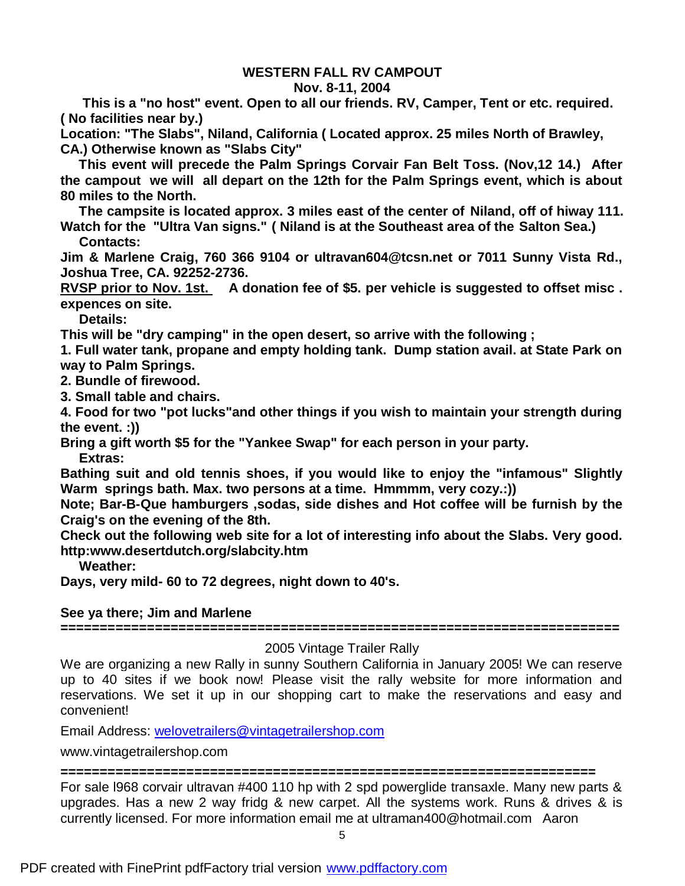#### **WESTERN FALL RV CAMPOUT**

#### **Nov. 8-11, 2004**

 **This is a "no host" event. Open to all our friends. RV, Camper, Tent or etc. required. ( No facilities near by.)**

**Location: "The Slabs", Niland, California ( Located approx. 25 miles North of Brawley, CA.) Otherwise known as "Slabs City"**

 **This event will precede the Palm Springs Corvair Fan Belt Toss. (Nov,12 14.) After the campout we will all depart on the 12th for the Palm Springs event, which is about 80 miles to the North.**

 **The campsite is located approx. 3 miles east of the center of Niland, off of hiway 111. Watch for the "Ultra Van signs." ( Niland is at the Southeast area of the Salton Sea.) Contacts:**

**Jim & Marlene Craig, 760 366 9104 or ultravan604@tcsn.net or 7011 Sunny Vista Rd., Joshua Tree, CA. 92252-2736.**

**RVSP prior to Nov. 1st. A donation fee of \$5. per vehicle is suggested to offset misc . expences on site.**

 **Details:**

**This will be "dry camping" in the open desert, so arrive with the following ;**

**1. Full water tank, propane and empty holding tank. Dump station avail. at State Park on way to Palm Springs.**

**2. Bundle of firewood.**

**3. Small table and chairs.**

**4. Food for two "pot lucks"and other things if you wish to maintain your strength during the event. :))**

**Bring a gift worth \$5 for the "Yankee Swap" for each person in your party.**

 **Extras:**

**Bathing suit and old tennis shoes, if you would like to enjoy the "infamous" Slightly Warm springs bath. Max. two persons at a time. Hmmmm, very cozy.:))**

**Note; Bar-B-Que hamburgers ,sodas, side dishes and Hot coffee will be furnish by the Craig's on the evening of the 8th.**

**Check out the following web site for a lot of interesting info about the Slabs. Very good. http:www.desertdutch.org/slabcity.htm**

 **Weather:**

**Days, very mild- 60 to 72 degrees, night down to 40's.**

#### **See ya there; Jim and Marlene**

**=======================================================================**

#### 2005 Vintage Trailer Rally

We are organizing a new Rally in sunny Southern California in January 2005! We can reserve up to 40 sites if we book now! Please visit the rally website for more information and reservations. We set it up in our shopping cart to make the reservations and easy and convenient!

Email Address: welovetrailers@vintagetrailershop.com

www.vintagetrailershop.com

**====================================================================**

For sale l968 corvair ultravan #400 110 hp with 2 spd powerglide transaxle. Many new parts & upgrades. Has a new 2 way fridg & new carpet. All the systems work. Runs & drives & is currently licensed. For more information email me at ultraman400@hotmail.com Aaron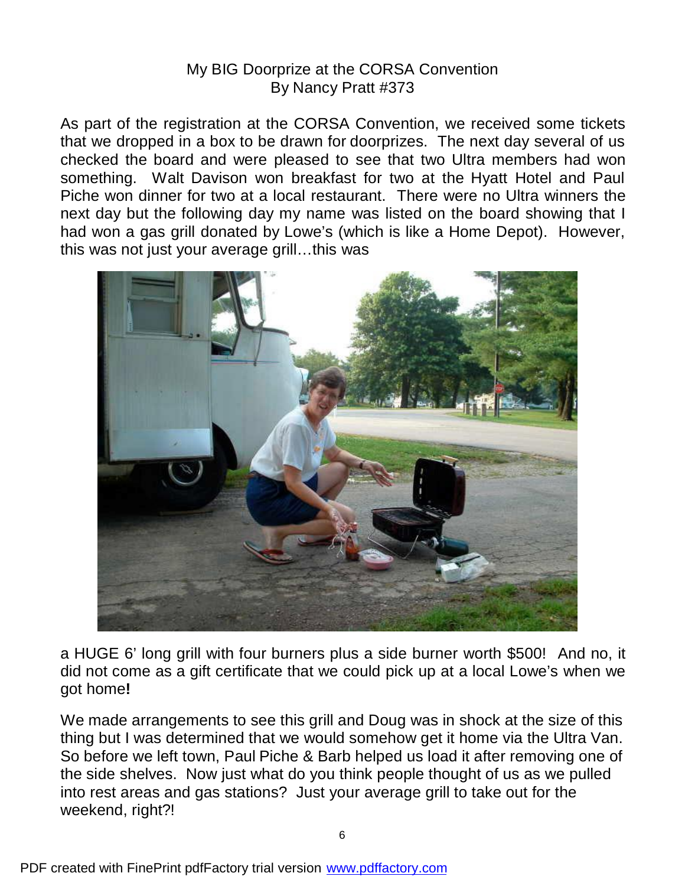### My BIG Doorprize at the CORSA Convention By Nancy Pratt #373

As part of the registration at the CORSA Convention, we received some tickets that we dropped in a box to be drawn for doorprizes. The next day several of us checked the board and were pleased to see that two Ultra members had won something. Walt Davison won breakfast for two at the Hyatt Hotel and Paul Piche won dinner for two at a local restaurant. There were no Ultra winners the next day but the following day my name was listed on the board showing that I had won a gas grill donated by Lowe's (which is like a Home Depot). However, this was not just your average grill…this was



a HUGE 6' long grill with four burners plus a side burner worth \$500! And no, it did not come as a gift certificate that we could pick up at a local Lowe's when we got home**!**

We made arrangements to see this grill and Doug was in shock at the size of this thing but I was determined that we would somehow get it home via the Ultra Van. So before we left town, Paul Piche & Barb helped us load it after removing one of the side shelves. Now just what do you think people thought of us as we pulled into rest areas and gas stations? Just your average grill to take out for the weekend, right?!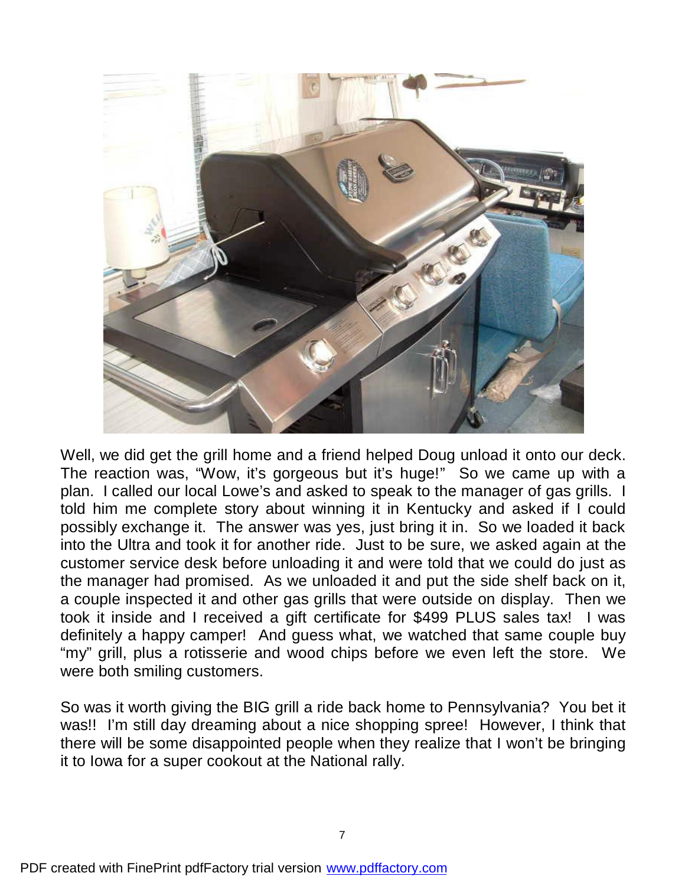

Well, we did get the grill home and a friend helped Doug unload it onto our deck. The reaction was, "Wow, it's gorgeous but it's huge!" So we came up with a plan. I called our local Lowe's and asked to speak to the manager of gas grills. I told him me complete story about winning it in Kentucky and asked if I could possibly exchange it. The answer was yes, just bring it in. So we loaded it back into the Ultra and took it for another ride. Just to be sure, we asked again at the customer service desk before unloading it and were told that we could do just as the manager had promised. As we unloaded it and put the side shelf back on it, a couple inspected it and other gas grills that were outside on display. Then we took it inside and I received a gift certificate for \$499 PLUS sales tax! I was definitely a happy camper! And guess what, we watched that same couple buy "my" grill, plus a rotisserie and wood chips before we even left the store. We were both smiling customers.

So was it worth giving the BIG grill a ride back home to Pennsylvania? You bet it was!! I'm still day dreaming about a nice shopping spree! However, I think that there will be some disappointed people when they realize that I won't be bringing it to Iowa for a super cookout at the National rally.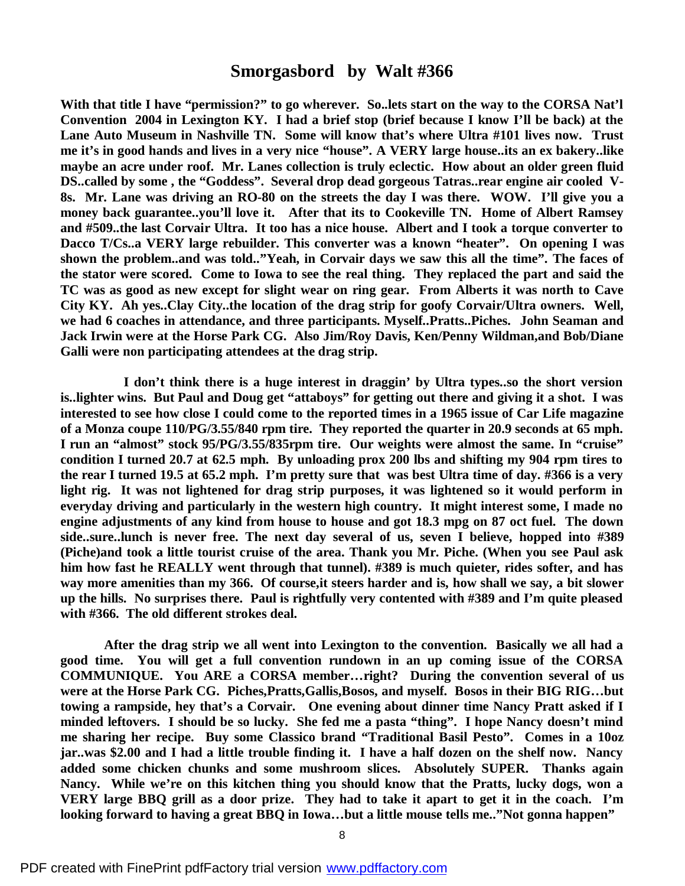#### **Smorgasbord by Walt #366**

**With that title I have "permission?" to go wherever. So..lets start on the way to the CORSA Nat'l Convention 2004 in Lexington KY. I had a brief stop (brief because I know I'll be back) at the Lane Auto Museum in Nashville TN. Some will know that's where Ultra #101 lives now. Trust** me it's in good hands and lives in a very nice "house". A VERY large house..its an ex bakery..like **maybe an acre under roof. Mr. Lanes collection is truly eclectic. How about an older green fluid DS..called by some , the "Goddess". Several drop dead gorgeous Tatras..rear engine air cooled V-8s. Mr. Lane was driving an RO-80 on the streets the day I was there. WOW. I'll give you a money back guarantee..you'll love it. After that its to Cookeville TN. Home of Albert Ramsey and #509..the last Corvair Ultra. It too has a nice house. Albert and I took a torque converter to Dacco T/Cs..a VERY large rebuilder. This converter was a known "heater". On opening I was shown the problem..and was told.."Yeah, in Corvair days we saw this all the time". The faces of the stator were scored. Come to Iowa to see the real thing. They replaced the part and said the** TC was as good as new except for slight wear on ring gear. From Alberts it was north to Cave **City KY. Ah yes..Clay City..the location of the drag strip for goofy Corvair/Ultra owners. Well, we had 6 coaches in attendance, and three participants. Myself..Pratts..Piches. John Seaman and Jack Irwin were at the Horse Park CG. Also Jim/Roy Davis, Ken/Penny Wildman,and Bob/Diane Galli were non participating attendees at the drag strip.**

**I don't think there is a huge interest in draggin' by Ultra types..so the short version is..lighter wins. But Paul and Doug get "attaboys" for getting out there and giving it a shot. I was** interested to see how close I could come to the reported times in a 1965 issue of Car Life magazine **of a Monza coupe 110/PG/3.55/840 rpm tire. They reported the quarter in 20.9 seconds at 65 mph. I run an "almost" stock 95/PG/3.55/835rpm tire. Our weights were almost the same. In "cruise"** condition I turned 20.7 at 62.5 mph. By unloading prox 200 lbs and shifting my 904 rpm tires to the rear I turned 19.5 at 65.2 mph. I'm pretty sure that was best Ultra time of day, #366 is a very **light rig. It was not lightened for drag strip purposes, it was lightened so it would perform in everyday driving and particularly in the western high country. It might interest some, I made no engine adjustments of any kind from house to house and got 18.3 mpg on 87 oct fuel. The down side..sure..lunch is never free. The next day several of us, seven I believe, hopped into #389 (Piche)and took a little tourist cruise of the area. Thank you Mr. Piche. (When you see Paul ask him how fast he REALLY went through that tunnel). #389 is much quieter, rides softer, and has way more amenities than my 366. Of course,it steers harder and is, how shall we say, a bit slower up the hills. No surprises there. Paul is rightfully very contented with #389 and I'm quite pleased with #366. The old different strokes deal.**

**After the drag strip we all went into Lexington to the convention. Basically we all had a good time. You will get a full convention rundown in an up coming issue of the CORSA COMMUNIQUE. You ARE a CORSA member…right? During the convention several of us were at the Horse Park CG. Piches,Pratts,Gallis,Bosos, and myself. Bosos in their BIG RIG…but towing a rampside, hey that's a Corvair. One evening about dinner time Nancy Pratt asked if I minded leftovers. I should be so lucky. She fed me a pasta "thing". I hope Nancy doesn't mind me sharing her recipe. Buy some Classico brand "Traditional Basil Pesto". Comes in a 10oz jar..was \$2.00 and I had a little trouble finding it. I have a half dozen on the shelf now. Nancy added some chicken chunks and some mushroom slices. Absolutely SUPER. Thanks again Nancy. While we're on this kitchen thing you should know that the Pratts, lucky dogs, won a VERY large BBQ grill as a door prize. They had to take it apart to get it in the coach. I'm looking forward to having a great BBQ in Iowa…but a little mouse tells me.."Not gonna happen"**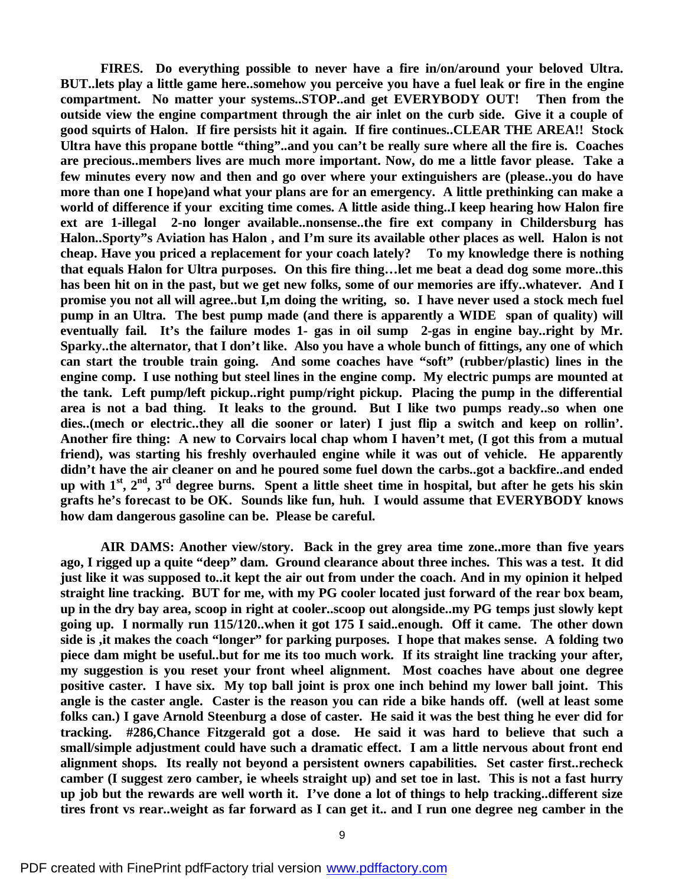**FIRES. Do everything possible to never have a fire in/on/around your beloved Ultra. BUT..lets play a little game here..somehow you perceive you have a fuel leak or fire in the engine compartment. No matter your systems..STOP..and get EVERYBODY OUT! Then from the outside view the engine compartment through the air inlet on the curb side. Give it a couple of good squirts of Halon. If fire persists hit it again. If fire continues..CLEAR THE AREA!! Stock Ultra have this propane bottle "thing"..and you can't be really sure where all the fire is. Coaches are precious..members lives are much more important. Now, do me a little favor please. Take a few minutes every now and then and go over where your extinguishers are (please..you do have more than one I hope)and what your plans are for an emergency. A little prethinking can make a world of difference if your exciting time comes. A little aside thing..I keep hearing how Halon fire ext are 1-illegal 2-no longer available..nonsense..the fire ext company in Childersburg has Halon..Sporty"s Aviation has Halon , and I'm sure its available other places as well. Halon is not cheap. Have you priced a replacement for your coach lately? To my knowledge there is nothing that equals Halon for Ultra purposes. On this fire thing…let me beat a dead dog some more..this has been hit on in the past, but we get new folks, some of our memories are iffy..whatever. And I promise you not all will agree..but I,m doing the writing, so. I have never used a stock mech fuel pump in an Ultra. The best pump made (and there is apparently a WIDE span of quality) will eventually fail. It's the failure modes 1- gas in oil sump 2-gas in engine bay..right by Mr. Sparky..the alternator, that I don't like. Also you have a whole bunch of fittings, any one of which can start the trouble train going. And some coaches have "soft" (rubber/plastic) lines in the engine comp. I use nothing but steel lines in the engine comp. My electric pumps are mounted at the tank. Left pump/left pickup..right pump/right pickup. Placing the pump in the differential area is not a bad thing. It leaks to the ground. But I like two pumps ready..so when one dies..(mech or electric..they all die sooner or later) I just flip a switch and keep on rollin'.** Another fire thing: A new to Corvairs local chap whom I haven't met, (I got this from a mutual **friend), was starting his freshly overhauled engine while it was out of vehicle. He apparently didn't have the air cleaner on and he poured some fuel down the carbs..got a backfire..and ended** up with  $1^{st}$ ,  $2^{nd}$ ,  $3^{rd}$  degree burns. Spent a little sheet time in hospital, but after he gets his skin **grafts he's forecast to be OK. Sounds like fun, huh. I would assume that EVERYBODY knows how dam dangerous gasoline can be. Please be careful.**

**AIR DAMS: Another view/story. Back in the grey area time zone..more than five years ago, I rigged up a quite "deep" dam. Ground clearance about three inches. This was a test. It did** just like it was supposed to ..it kept the air out from under the coach. And in my opinion it helped **straight line tracking. BUT for me, with my PG cooler located just forward of the rear box beam,** up in the dry bay area, scoop in right at cooler. scoop out alongside..my PG temps just slowly kept **going up. I normally run 115/120..when it got 175 I said..enough. Off it came. The other down side is ,it makes the coach "longer" for parking purposes. I hope that makes sense. A folding two piece dam might be useful..but for me its too much work. If its straight line tracking your after, my suggestion is you reset your front wheel alignment. Most coaches have about one degree positive caster. I have six. My top ball joint is prox one inch behind my lower ball joint. This angle is the caster angle. Caster is the reason you can ride a bike hands off. (well at least some** folks can.) I gave Arnold Steenburg a dose of caster. He said it was the best thing he ever did for **tracking. #286,Chance Fitzgerald got a dose. He said it was hard to believe that such a small/simple adjustment could have such a dramatic effect. I am a little nervous about front end alignment shops. Its really not beyond a persistent owners capabilities. Set caster first..recheck** camber (I suggest zero camber, ie wheels straight up) and set toe in last. This is not a fast hurry up job but the rewards are well worth it. I've done a lot of things to help tracking..different size tires front vs rear. weight as far forward as I can get it.. and I run one degree neg camber in the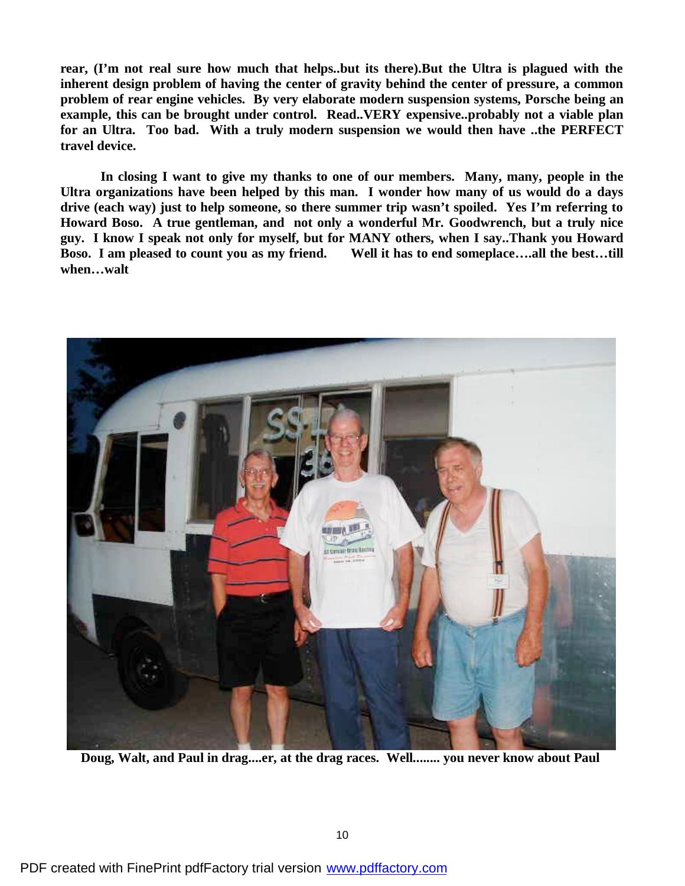**rear, (I'm not real sure how much that helps..but its there).But the Ultra is plagued with the inherent design problem of having the center of gravity behind the center of pressure, a common problem of rear engine vehicles. By very elaborate modern suspension systems, Porsche being an example, this can be brought under control. Read..VERY expensive..probably not a viable plan for an Ultra. Too bad. With a truly modern suspension we would then have ..the PERFECT travel device.**

**In closing I want to give my thanks to one of our members. Many, many, people in the Ultra organizations have been helped by this man. I wonder how many of us would do a days drive (each way) just to help someone, so there summer trip wasn't spoiled. Yes I'm referring to Howard Boso. A true gentleman, and not only a wonderful Mr. Goodwrench, but a truly nice guy. I know I speak not only for myself, but for MANY others, when I say..Thank you Howard Boso. I am pleased to count you as my friend. Well it has to end someplace….all the best…till when…walt**



 **Doug, Walt, and Paul in drag....er, at the drag races. Well........ you never know about Paul**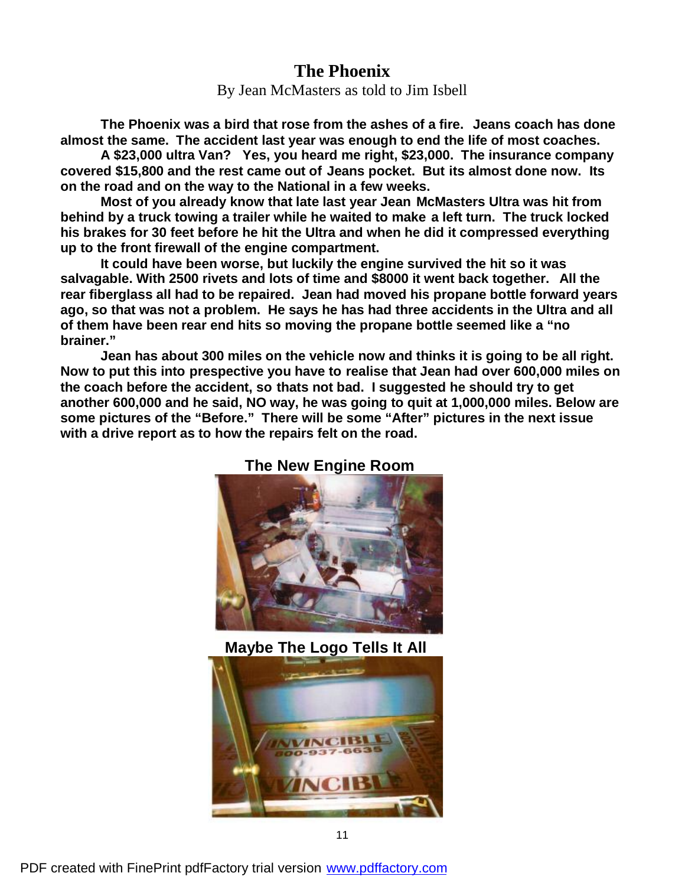#### **The Phoenix**

By Jean McMasters as told to Jim Isbell

**The Phoenix was a bird that rose from the ashes of a fire. Jeans coach has done almost the same. The accident last year was enough to end the life of most coaches.**

**A \$23,000 ultra Van? Yes, you heard me right, \$23,000. The insurance company covered \$15,800 and the rest came out of Jeans pocket. But its almost done now. Its on the road and on the way to the National in a few weeks.**

**Most of you already know that late last year Jean McMasters Ultra was hit from behind by a truck towing a trailer while he waited to make a left turn. The truck locked his brakes for 30 feet before he hit the Ultra and when he did it compressed everything up to the front firewall of the engine compartment.**

**It could have been worse, but luckily the engine survived the hit so it was salvagable. With 2500 rivets and lots of time and \$8000 it went back together. All the rear fiberglass all had to be repaired. Jean had moved his propane bottle forward years ago, so that was not a problem. He says he has had three accidents in the Ultra and all of them have been rear end hits so moving the propane bottle seemed like a "no brainer."**

**Jean has about 300 miles on the vehicle now and thinks it is going to be all right. Now to put this into prespective you have to realise that Jean had over 600,000 miles on the coach before the accident, so thats not bad. I suggested he should try to get another 600,000 and he said, NO way, he was going to quit at 1,000,000 miles. Below are some pictures of the "Before." There will be some "After" pictures in the next issue with a drive report as to how the repairs felt on the road.**



#### **The New Engine Room**

**Maybe The Logo Tells It All**



PDF created with FinePrint pdfFactory trial version [www.pdffactory.com](http://www.pdffactory.com)